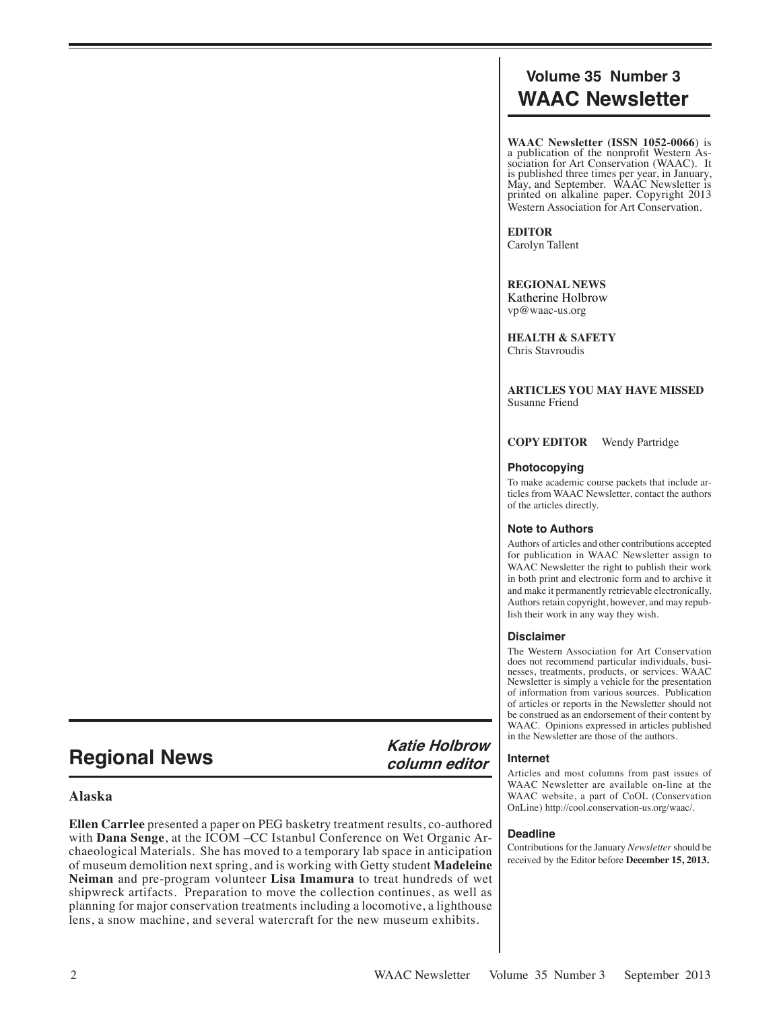# **Volume 35 Number 3 WAAC Newsletter**

**WAAC Newsletter (ISSN 1052-0066**) is a publication of the nonprofit Western As- sociation for Art Conservation (WAAC). It is published three times per year, in January, May, and September. WAAC Newsletter is printed on alkaline paper. Copyright 2013 Western Association for Art Conservation.

**EDITOR** Carolyn Tallent

**REGIONAL NEWS** Katherine Holbrow vp@waac-us.org

**HEALTH & SAFETY** Chris Stavroudis

**ARTICLES YOU MAY HAVE MISSED** Susanne Friend

**COPY EDITOR** Wendy Partridge

#### **Photocopying**

To make academic course packets that include articles from WAAC Newsletter, contact the authors of the articles directly.

# **Note to Authors**

Authors of articles and other contributions accepted for publication in WAAC Newsletter assign to WAAC Newsletter the right to publish their work in both print and electronic form and to archive it and make it permanently retrievable electronically. Authors retain copyright, however, and may republish their work in any way they wish.

# **Disclaimer**

**Internet**

**Deadline**

The Western Association for Art Conservation does not recommend particular individuals, businesses, treatments, products, or services. WAAC Newsletter is simply a vehicle for the presentation of information from various sources. Publication of articles or reports in the Newsletter should not be construed as an endorsement of their content by WAAC. Opinions expressed in articles published in the Newsletter are those of the authors.

Articles and most columns from past issues of WAAC Newsletter are available on-line at the WAAC website, a part of CoOL (Conservation OnLine) http://cool.conservation-us.org/waac/.

Contributions for the January *Newsletter* should be received by the Editor before **December 15, 2013.**

**Regional News Katie Holbrow column editor**

# **Alaska**

**Ellen Carrlee** presented a paper on PEG basketry treatment results, co-authored with **Dana Senge**, at the ICOM –CC Istanbul Conference on Wet Organic Archaeological Materials. She has moved to a temporary lab space in anticipation of museum demolition next spring, and is working with Getty student **Madeleine Neiman** and pre-program volunteer **Lisa Imamura** to treat hundreds of wet shipwreck artifacts.Preparation to move the collection continues, as well as planning for major conservation treatments including a locomotive, a lighthouse lens, a snow machine, and several watercraft for the new museum exhibits.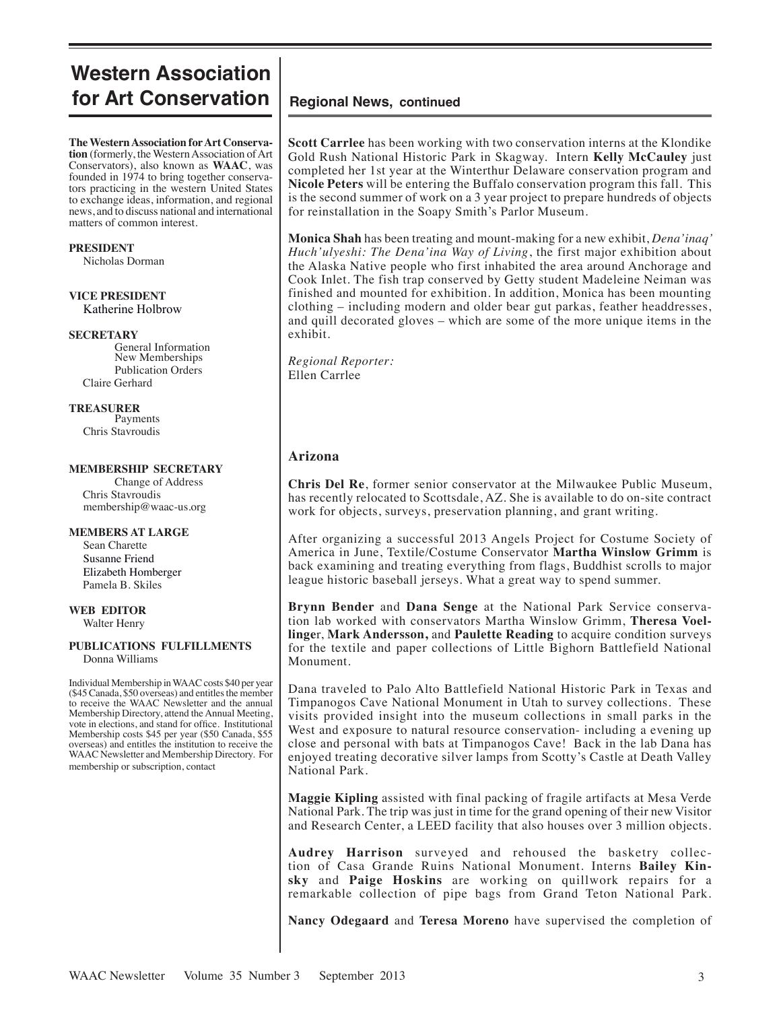# **Western Association for Art Conservation** | Regional News, continued

**The Western Association for Art Conservation** (formerly, the Western Association of Art Conservators), also known as **WAAC**, was founded in 1974 to bring together conservators practicing in the western United States to exchange ideas, information, and regional news, and to discuss national and international matters of common interest.

**PRESIDENT** Nicholas Dorman

### **VICE PRESIDENT** Katherine Holbrow

# **SECRETARY**

General Information New Memberships Publication Orders Claire Gerhard

# **TREASURER**

Payments Chris Stavroudis

#### **MEMBERSHIP SECRETARY**

Change of Address Chris Stavroudis membership@waac-us.org

### **MEMBERS AT LARGE**

 Sean Charette Susanne Friend Elizabeth Homberger Pamela B. Skiles

# **WEB EDITOR**

Walter Henry

#### **PUBLICATIONS FULFILLMENTS** Donna Williams

Individual Membership in WAAC costs \$40 per year (\$45 Canada, \$50 overseas) and entitles the member to receive the WAAC Newsletter and the annual Membership Directory, attend the Annual Meeting, vote in elections, and stand for office. Institutional Membership costs \$45 per year (\$50 Canada, \$55 overseas) and entitles the institution to receive the WAAC Newsletter and Membership Directory. For membership or subscription, contact

**Scott Carrlee** has been working with two conservation interns at the Klondike Gold Rush National Historic Park in Skagway. Intern **Kelly McCauley** just completed her 1st year at the Winterthur Delaware conservation program and **Nicole Peters** will be entering the Buffalo conservation program this fall. This is the second summer of work on a 3 year project to prepare hundreds of objects for reinstallation in the Soapy Smith's Parlor Museum.

**Monica Shah** has been treating and mount-making for a new exhibit, *Dena'inaq' Huch'ulyeshi: The Dena'ina Way of Living*, the first major exhibition about the Alaska Native people who first inhabited the area around Anchorage and Cook Inlet. The fish trap conserved by Getty student Madeleine Neiman was finished and mounted for exhibition. In addition, Monica has been mounting clothing – including modern and older bear gut parkas, feather headdresses, and quill decorated gloves – which are some of the more unique items in the exhibit.

*Regional Reporter:* Ellen Carrlee

# **Arizona**

**Chris Del Re**, former senior conservator at the Milwaukee Public Museum, has recently relocated to Scottsdale, AZ. She is available to do on-site contract work for objects, surveys, preservation planning, and grant writing.

After organizing a successful 2013 Angels Project for Costume Society of America in June, Textile/Costume Conservator **Martha Winslow Grimm** is back examining and treating everything from flags, Buddhist scrolls to major league historic baseball jerseys. What a great way to spend summer.

**Brynn Bender** and **Dana Senge** at the National Park Service conservation lab worked with conservators Martha Winslow Grimm, **Theresa Voellinge**r, **Mark Andersson,** and **Paulette Reading** to acquire condition surveys for the textile and paper collections of Little Bighorn Battlefield National Monument.

Dana traveled to Palo Alto Battlefield National Historic Park in Texas and Timpanogos Cave National Monument in Utah to survey collections. These visits provided insight into the museum collections in small parks in the West and exposure to natural resource conservation- including a evening up close and personal with bats at Timpanogos Cave! Back in the lab Dana has enjoyed treating decorative silver lamps from Scotty's Castle at Death Valley National Park.

**Maggie Kipling** assisted with final packing of fragile artifacts at Mesa Verde National Park. The trip was just in time for the grand opening of their new Visitor and Research Center, a LEED facility that also houses over 3 million objects.

**Audrey Harrison** surveyed and rehoused the basketry collection of Casa Grande Ruins National Monument. Interns **Bailey Kinsky** and **Paige Hoskins** are working on quillwork repairs for a remarkable collection of pipe bags from Grand Teton National Park.

**Nancy Odegaard** and **Teresa Moreno** have supervised the completion of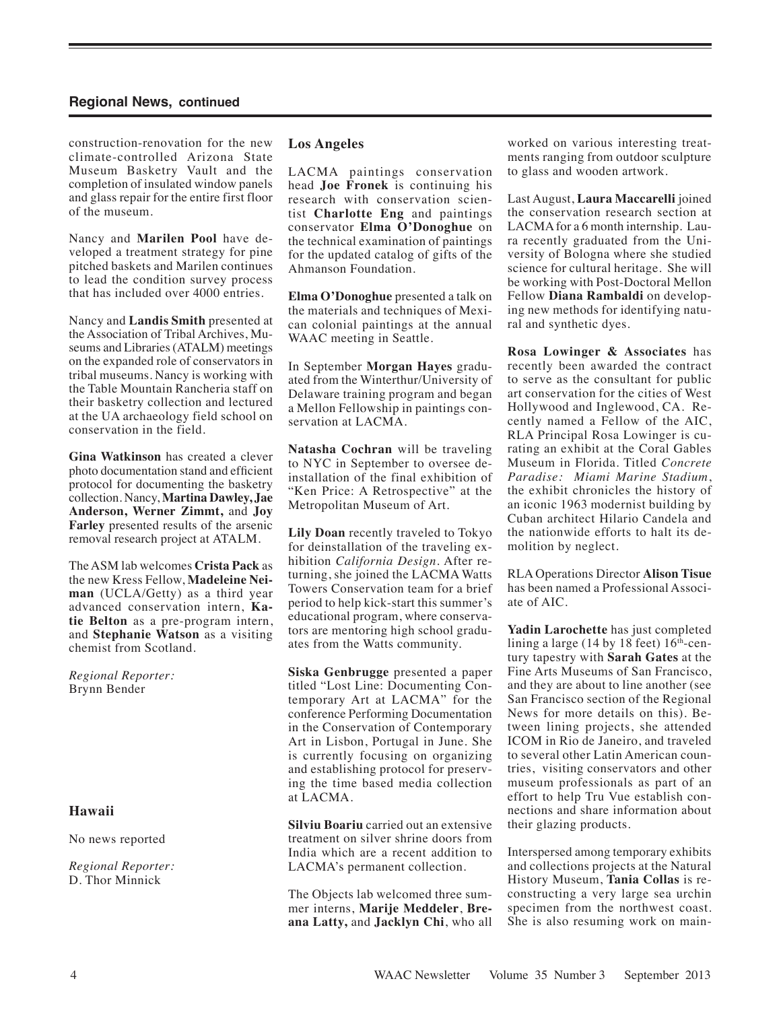construction-renovation for the new climate-controlled Arizona State Museum Basketry Vault and the completion of insulated window panels and glass repair for the entire first floor of the museum.

Nancy and **Marilen Pool** have developed a treatment strategy for pine pitched baskets and Marilen continues to lead the condition survey process that has included over 4000 entries.

Nancy and **Landis Smith** presented at the Association of Tribal Archives, Museums and Libraries (ATALM) meetings on the expanded role of conservators in tribal museums. Nancy is working with the Table Mountain Rancheria staff on their basketry collection and lectured at the UA archaeology field school on conservation in the field.

**Gina Watkinson** has created a clever photo documentation stand and efficient protocol for documenting the basketry collection. Nancy, **Martina Dawley, Jae Anderson, Werner Zimmt,** and **Joy Farley** presented results of the arsenic removal research project at ATALM.

The ASM lab welcomes **Crista Pack** as the new Kress Fellow, **Madeleine Neiman** (UCLA/Getty) as a third year advanced conservation intern, **Katie Belton** as a pre-program intern, and **Stephanie Watson** as a visiting chemist from Scotland.

*Regional Reporter:* Brynn Bender

# **Hawaii**

No news reported

*Regional Reporter:*  D. Thor Minnick

# **Los Angeles**

LACMA paintings conservation head **Joe Fronek** is continuing his research with conservation scientist **Charlotte Eng** and paintings conservator **Elma O'Donoghue** on the technical examination of paintings for the updated catalog of gifts of the Ahmanson Foundation.

**Elma O'Donoghue** presented a talk on the materials and techniques of Mexican colonial paintings at the annual WAAC meeting in Seattle.

In September **Morgan Hayes** graduated from the Winterthur/University of Delaware training program and began a Mellon Fellowship in paintings conservation at LACMA.

**Natasha Cochran** will be traveling to NYC in September to oversee deinstallation of the final exhibition of "Ken Price: A Retrospective" at the Metropolitan Museum of Art.

**Lily Doan** recently traveled to Tokyo for deinstallation of the traveling exhibition *California Design.* After returning, she joined the LACMA Watts Towers Conservation team for a brief period to help kick-start this summer's educational program, where conservators are mentoring high school graduates from the Watts community.

**Siska Genbrugge** presented a paper titled "Lost Line: Documenting Contemporary Art at LACMA" for the conference Performing Documentation in the Conservation of Contemporary Art in Lisbon, Portugal in June. She is currently focusing on organizing and establishing protocol for preserving the time based media collection at LACMA.

**Silviu Boariu** carried out an extensive treatment on silver shrine doors from India which are a recent addition to LACMA's permanent collection.

The Objects lab welcomed three summer interns, **Marije Meddeler**, **Breana Latty,** and **Jacklyn Chi**, who all worked on various interesting treatments ranging from outdoor sculpture to glass and wooden artwork.

Last August, **Laura Maccarelli** joined the conservation research section at LACMA for a 6 month internship. Laura recently graduated from the University of Bologna where she studied science for cultural heritage. She will be working with Post-Doctoral Mellon Fellow **Diana Rambaldi** on developing new methods for identifying natural and synthetic dyes.

**Rosa Lowinger & Associates** has recently been awarded the contract to serve as the consultant for public art conservation for the cities of West Hollywood and Inglewood, CA. Recently named a Fellow of the AIC, RLA Principal Rosa Lowinger is curating an exhibit at the Coral Gables Museum in Florida. Titled *Concrete Paradise: Miami Marine Stadium*, the exhibit chronicles the history of an iconic 1963 modernist building by Cuban architect Hilario Candela and the nationwide efforts to halt its demolition by neglect.

RLA Operations Director **Alison Tisue** has been named a Professional Associate of AIC.

**Yadin Larochette** has just completed lining a large (14 by 18 feet)  $16<sup>th</sup>$ -century tapestry with **Sarah Gates** at the Fine Arts Museums of San Francisco, and they are about to line another (see San Francisco section of the Regional News for more details on this). Between lining projects, she attended ICOM in Rio de Janeiro, and traveled to several other Latin American countries, visiting conservators and other museum professionals as part of an effort to help Tru Vue establish connections and share information about their glazing products.

Interspersed among temporary exhibits and collections projects at the Natural History Museum, **Tania Collas** is reconstructing a very large sea urchin specimen from the northwest coast. She is also resuming work on main-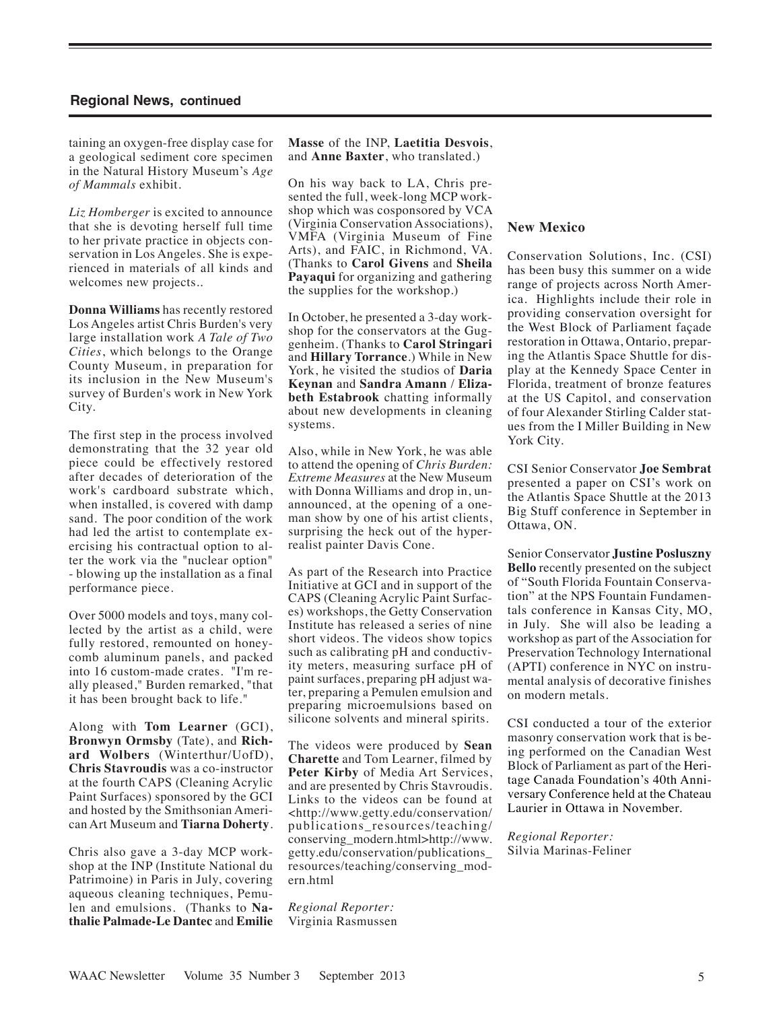taining an oxygen-free display case for a geological sediment core specimen in the Natural History Museum's *Age of Mammals* exhibit.

*Liz Homberger* is excited to announce that she is devoting herself full time to her private practice in objects conservation in Los Angeles. She is experienced in materials of all kinds and welcomes new projects..

**Donna Williams** has recently restored Los Angeles artist Chris Burden's very large installation work *A Tale of Two Cities*, which belongs to the Orange County Museum, in preparation for its inclusion in the New Museum's survey of Burden's work in New York City.

The first step in the process involved demonstrating that the 32 year old piece could be effectively restored after decades of deterioration of the work's cardboard substrate which, when installed, is covered with damp sand. The poor condition of the work had led the artist to contemplate exercising his contractual option to alter the work via the "nuclear option" - blowing up the installation as a final performance piece.

Over 5000 models and toys, many collected by the artist as a child, were fully restored, remounted on honeycomb aluminum panels, and packed into 16 custom-made crates. "I'm really pleased," Burden remarked, "that it has been brought back to life."

Along with **Tom Learner** (GCI), **Bronwyn Ormsby** (Tate), and **Richard Wolbers** (Winterthur/UofD), **Chris Stavroudis** was a co-instructor at the fourth CAPS (Cleaning Acrylic Paint Surfaces) sponsored by the GCI and hosted by the Smithsonian American Art Museum and **Tiarna Doherty**.

Chris also gave a 3-day MCP workshop at the INP (Institute National du Patrimoine) in Paris in July, covering aqueous cleaning techniques, Pemulen and emulsions. (Thanks to **Nathalie Palmade-Le Dantec** and **Emilie**  **Masse** of the INP, **Laetitia Desvois**, and **Anne Baxter**, who translated.)

On his way back to LA, Chris presented the full, week-long MCP workshop which was cosponsored by VCA (Virginia Conservation Associations), VMFA (Virginia Museum of Fine Arts), and FAIC, in Richmond, VA. (Thanks to **Carol Givens** and **Sheila Payaqui** for organizing and gathering the supplies for the workshop.)

In October, he presented a 3-day workshop for the conservators at the Guggenheim. (Thanks to **Carol Stringari**  and **Hillary Torrance**.) While in New York, he visited the studios of **Daria Keynan** and **Sandra Amann** / **Elizabeth Estabrook** chatting informally about new developments in cleaning systems.

Also, while in New York, he was able to attend the opening of *Chris Burden: Extreme Measures* at the New Museum with Donna Williams and drop in, unannounced, at the opening of a oneman show by one of his artist clients, surprising the heck out of the hyperrealist painter Davis Cone.

As part of the Research into Practice Initiative at GCI and in support of the CAPS (Cleaning Acrylic Paint Surfaces) workshops, the Getty Conservation Institute has released a series of nine short videos. The videos show topics such as calibrating pH and conductivity meters, measuring surface pH of paint surfaces, preparing pH adjust water, preparing a Pemulen emulsion and preparing microemulsions based on silicone solvents and mineral spirits.

The videos were produced by **Sean Charette** and Tom Learner, filmed by **Peter Kirby** of Media Art Services, and are presented by Chris Stavroudis. Links to the videos can be found at <http://www.getty.edu/conservation/ publications\_resources/teaching/ conserving\_modern.html>http://www. getty.edu/conservation/publications\_ resources/teaching/conserving\_modern.html

*Regional Reporter:* Virginia Rasmussen

# **New Mexico**

Conservation Solutions, Inc. (CSI) has been busy this summer on a wide range of projects across North America. Highlights include their role in providing conservation oversight for the West Block of Parliament façade restoration in Ottawa, Ontario, preparing the Atlantis Space Shuttle for display at the Kennedy Space Center in Florida, treatment of bronze features at the US Capitol, and conservation of four Alexander Stirling Calder statues from the I Miller Building in New York City.

CSI Senior Conservator **Joe Sembrat**  presented a paper on CSI's work on the Atlantis Space Shuttle at the 2013 Big Stuff conference in September in Ottawa, ON.

Senior Conservator **Justine Posluszny Bello** recently presented on the subject of "South Florida Fountain Conservation" at the NPS Fountain Fundamentals conference in Kansas City, MO, in July. She will also be leading a workshop as part of the Association for Preservation Technology International (APTI) conference in NYC on instrumental analysis of decorative finishes on modern metals.

CSI conducted a tour of the exterior masonry conservation work that is being performed on the Canadian West Block of Parliament as part of the Heritage Canada Foundation's 40th Anniversary Conference held at the Chateau Laurier in Ottawa in November.

*Regional Reporter:* Silvia Marinas-Feliner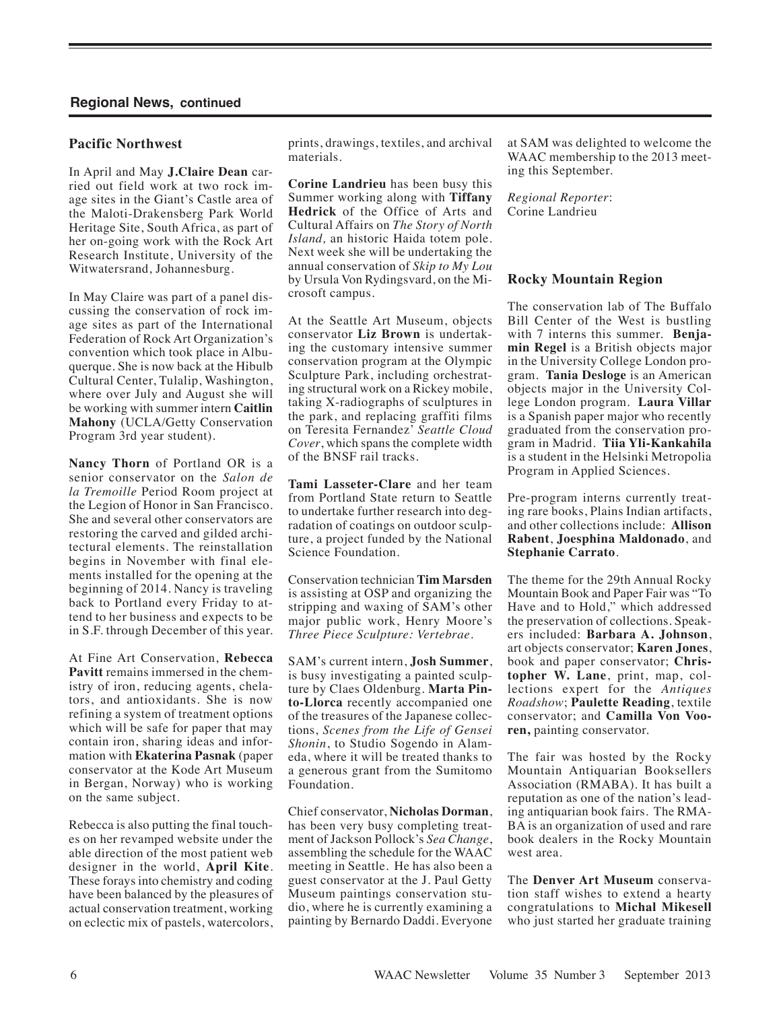# **Pacific Northwest**

In April and May **J.Claire Dean** carried out field work at two rock image sites in the Giant's Castle area of the Maloti-Drakensberg Park World Heritage Site, South Africa, as part of her on-going work with the Rock Art Research Institute, University of the Witwatersrand, Johannesburg.

In May Claire was part of a panel discussing the conservation of rock image sites as part of the International Federation of Rock Art Organization's convention which took place in Albuquerque. She is now back at the Hibulb Cultural Center, Tulalip, Washington, where over July and August she will be working with summer intern **Caitlin Mahony** (UCLA/Getty Conservation Program 3rd year student).

**Nancy Thorn** of Portland OR is a senior conservator on the *Salon de la Tremoille* Period Room project at the Legion of Honor in San Francisco. She and several other conservators are restoring the carved and gilded architectural elements. The reinstallation begins in November with final elements installed for the opening at the beginning of 2014. Nancy is traveling back to Portland every Friday to attend to her business and expects to be in S.F. through December of this year.

At Fine Art Conservation, **Rebecca Pavitt** remains immersed in the chemistry of iron, reducing agents, chelators, and antioxidants. She is now refining a system of treatment options which will be safe for paper that may contain iron, sharing ideas and information with **Ekaterina Pasnak** (paper conservator at the Kode Art Museum in Bergan, Norway) who is working on the same subject.

Rebecca is also putting the final touches on her revamped website under the able direction of the most patient web designer in the world, **April Kite**. These forays into chemistry and coding have been balanced by the pleasures of actual conservation treatment, working on eclectic mix of pastels, watercolors,

prints, drawings, textiles, and archival materials.

**Corine Landrieu** has been busy this Summer working along with **Tiffany Hedrick** of the Office of Arts and Cultural Affairs on *The Story of North Island,* an historic Haida totem pole. Next week she will be undertaking the annual conservation of *Skip to My Lou*  by Ursula Von Rydingsvard, on the Microsoft campus.

At the Seattle Art Museum, objects conservator **Liz Brown** is undertaking the customary intensive summer conservation program at the Olympic Sculpture Park, including orchestrating structural work on a Rickey mobile, taking X-radiographs of sculptures in the park, and replacing graffiti films on Teresita Fernandez' *Seattle Cloud Cover*, which spans the complete width of the BNSF rail tracks.

**Tami Lasseter-Clare** and her team from Portland State return to Seattle to undertake further research into degradation of coatings on outdoor sculpture, a project funded by the National Science Foundation.

Conservation technician **Tim Marsden**  is assisting at OSP and organizing the stripping and waxing of SAM's other major public work, Henry Moore's *Three Piece Sculpture: Vertebrae.* 

SAM's current intern, **Josh Summer**, is busy investigating a painted sculpture by Claes Oldenburg. **Marta Pinto-Llorca** recently accompanied one of the treasures of the Japanese collections, *Scenes from the Life of Gensei Shonin*, to Studio Sogendo in Alameda, where it will be treated thanks to a generous grant from the Sumitomo Foundation.

Chief conservator, **Nicholas Dorman**, has been very busy completing treatment of Jackson Pollock's *Sea Change*, assembling the schedule for the WAAC meeting in Seattle. He has also been a guest conservator at the J. Paul Getty Museum paintings conservation studio, where he is currently examining a painting by Bernardo Daddi. Everyone at SAM was delighted to welcome the WAAC membership to the 2013 meeting this September.

*Regional Reporter*: Corine Landrieu

#### **Rocky Mountain Region**

The conservation lab of The Buffalo Bill Center of the West is bustling with 7 interns this summer. **Benjamin Regel** is a British objects major in the University College London program. **Tania Desloge** is an American objects major in the University College London program. **Laura Villar** is a Spanish paper major who recently graduated from the conservation program in Madrid. **Tiia Yli-Kankahila** is a student in the Helsinki Metropolia Program in Applied Sciences.

Pre-program interns currently treating rare books, Plains Indian artifacts, and other collections include: **Allison Rabent**, **Joesphina Maldonado**, and **Stephanie Carrato**.

The theme for the 29th Annual Rocky Mountain Book and Paper Fair was "To Have and to Hold," which addressed the preservation of collections. Speakers included: **Barbara A. Johnson**, art objects conservator; **Karen Jones**, book and paper conservator; **Christopher W. Lane**, print, map, collections expert for the *Antiques Roadshow*; **Paulette Reading**, textile conservator; and **Camilla Von Vooren,** painting conservator.

The fair was hosted by the Rocky Mountain Antiquarian Booksellers Association (RMABA). It has built a reputation as one of the nation's leading antiquarian book fairs. The RMA-BA is an organization of used and rare book dealers in the Rocky Mountain west area.

The **Denver Art Museum** conservation staff wishes to extend a hearty congratulations to **Michal Mikesell** who just started her graduate training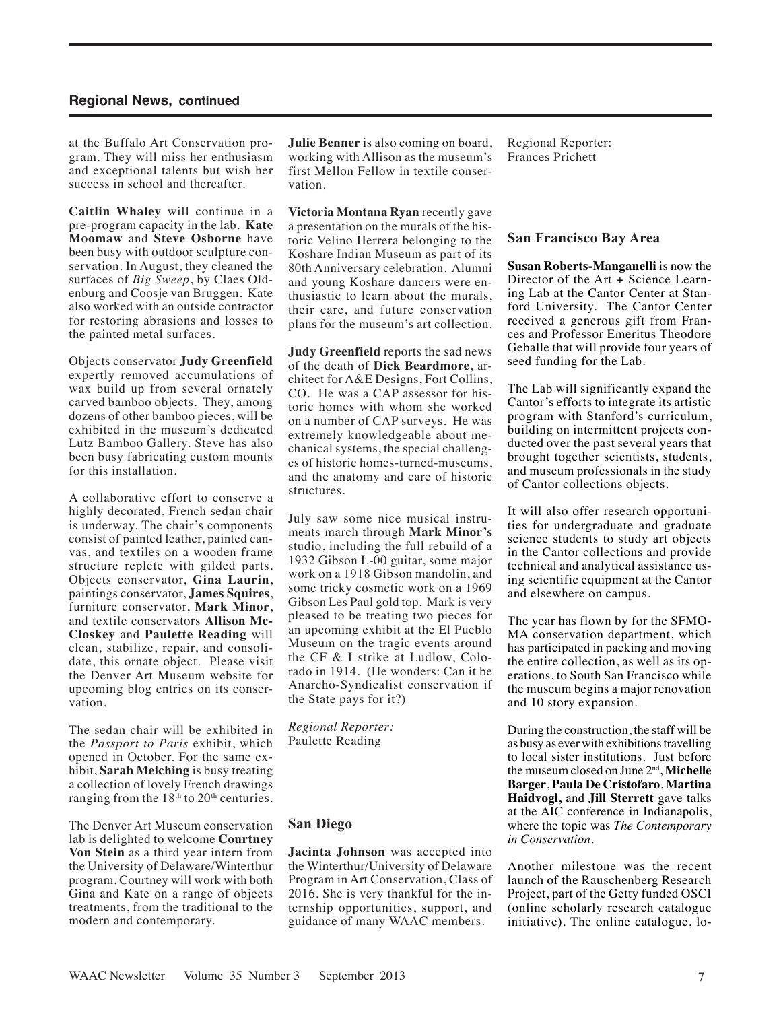at the Buffalo Art Conservation program. They will miss her enthusiasm and exceptional talents but wish her success in school and thereafter.

**Caitlin Whaley** will continue in a pre-program capacity in the lab. **Kate Moomaw** and **Steve Osborne** have been busy with outdoor sculpture conservation. In August, they cleaned the surfaces of *Big Sweep*, by Claes Oldenburg and Coosje van Bruggen. Kate also worked with an outside contractor for restoring abrasions and losses to the painted metal surfaces.

Objects conservator **Judy Greenfield** expertly removed accumulations of wax build up from several ornately carved bamboo objects. They, among dozens of other bamboo pieces, will be exhibited in the museum's dedicated Lutz Bamboo Gallery. Steve has also been busy fabricating custom mounts for this installation.

A collaborative effort to conserve a highly decorated, French sedan chair is underway. The chair's components consist of painted leather, painted canvas, and textiles on a wooden frame structure replete with gilded parts. Objects conservator, **Gina Laurin**, paintings conservator, **James Squires**, furniture conservator, **Mark Minor**, and textile conservators **Allison Mc-Closkey** and **Paulette Reading** will clean, stabilize, repair, and consolidate, this ornate object. Please visit the Denver Art Museum website for upcoming blog entries on its conservation.

The sedan chair will be exhibited in the *Passport to Paris* exhibit, which opened in October. For the same exhibit, **Sarah Melching** is busy treating a collection of lovely French drawings ranging from the 18<sup>th</sup> to 20<sup>th</sup> centuries.

The Denver Art Museum conservation lab is delighted to welcome **Courtney Von Stein** as a third year intern from the University of Delaware/Winterthur program. Courtney will work with both Gina and Kate on a range of objects treatments, from the traditional to the modern and contemporary.

**Julie Benner** is also coming on board, working with Allison as the museum's first Mellon Fellow in textile conservation.

**Victoria Montana Ryan** recently gave a presentation on the murals of the historic Velino Herrera belonging to the Koshare Indian Museum as part of its 80th Anniversary celebration. Alumni and young Koshare dancers were enthusiastic to learn about the murals, their care, and future conservation plans for the museum's art collection.

**Judy Greenfield** reports the sad news of the death of **Dick Beardmore**, architect for A&E Designs, Fort Collins, CO. He was a CAP assessor for historic homes with whom she worked on a number of CAP surveys. He was extremely knowledgeable about mechanical systems, the special challenges of historic homes-turned-museums, and the anatomy and care of historic structures.

July saw some nice musical instruments march through **Mark Minor's** studio, including the full rebuild of a 1932 Gibson L-00 guitar, some major work on a 1918 Gibson mandolin, and some tricky cosmetic work on a 1969 Gibson Les Paul gold top. Mark is very pleased to be treating two pieces for an upcoming exhibit at the El Pueblo Museum on the tragic events around the CF & I strike at Ludlow, Colorado in 1914. (He wonders: Can it be Anarcho-Syndicalist conservation if the State pays for it?)

*Regional Reporter:* Paulette Reading

# **San Diego**

**Jacinta Johnson** was accepted into the Winterthur/University of Delaware Program in Art Conservation, Class of 2016. She is very thankful for the internship opportunities, support, and guidance of many WAAC members.

Regional Reporter: Frances Prichett

#### **San Francisco Bay Area**

**Susan Roberts-Manganelli** is now the Director of the Art + Science Learning Lab at the Cantor Center at Stanford University. The Cantor Center received a generous gift from Frances and Professor Emeritus Theodore Geballe that will provide four years of seed funding for the Lab.

The Lab will significantly expand the Cantor's efforts to integrate its artistic program with Stanford's curriculum, building on intermittent projects conducted over the past several years that brought together scientists, students, and museum professionals in the study of Cantor collections objects.

It will also offer research opportunities for undergraduate and graduate science students to study art objects in the Cantor collections and provide technical and analytical assistance using scientific equipment at the Cantor and elsewhere on campus.

The year has flown by for the SFMO-MA conservation department, which has participated in packing and moving the entire collection, as well as its operations, to South San Francisco while the museum begins a major renovation and 10 story expansion.

During the construction, the staff will be as busy as ever with exhibitions travelling to local sister institutions. Just before the museum closed on June 2nd, **Michelle Barger**, **Paula De Cristofaro**, **Martina Haidvogl,** and **Jill Sterrett** gave talks at the AIC conference in Indianapolis, where the topic was *The Contemporary in Conservation*.

Another milestone was the recent launch of the Rauschenberg Research Project, part of the Getty funded OSCI (online scholarly research catalogue initiative). The online catalogue, lo-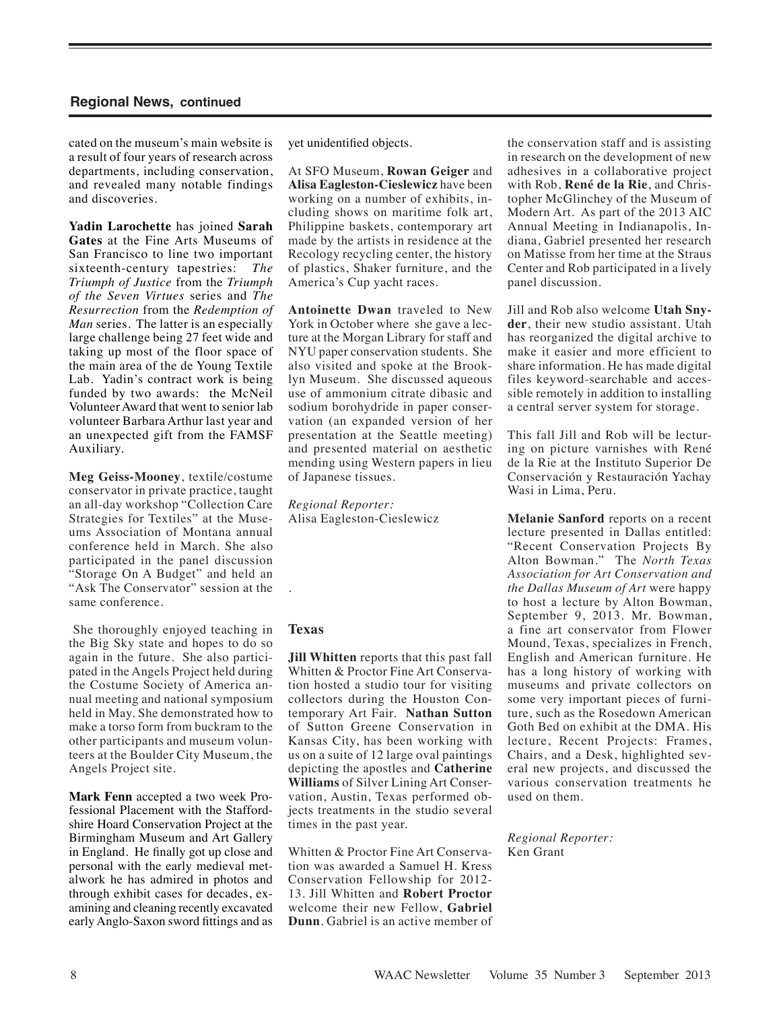cated on the museum's main website is a result of four years of research across departments, including conservation, and revealed many notable findings and discoveries.

**Yadin Larochette** has joined **Sarah Gates** at the Fine Arts Museums of San Francisco to line two important sixteenth-century tapestries: *The Triumph of Justice* from the *Triumph of the Seven Virtues* series and *The Resurrection* from the *Redemption of Man* series. The latter is an especially large challenge being 27 feet wide and taking up most of the floor space of the main area of the de Young Textile Lab. Yadin's contract work is being funded by two awards: the McNeil Volunteer Award that went to senior lab volunteer Barbara Arthur last year and an unexpected gift from the FAMSF Auxiliary.

**Meg Geiss-Mooney**, textile/costume conservator in private practice, taught an all-day workshop "Collection Care Strategies for Textiles" at the Museums Association of Montana annual conference held in March. She also participated in the panel discussion "Storage On A Budget" and held an "Ask The Conservator" session at the same conference.

 She thoroughly enjoyed teaching in the Big Sky state and hopes to do so again in the future. She also participated in the Angels Project held during the Costume Society of America annual meeting and national symposium held in May. She demonstrated how to make a torso form from buckram to the other participants and museum volunteers at the Boulder City Museum, the Angels Project site.

**Mark Fenn** accepted a two week Professional Placement with the Staffordshire Hoard Conservation Project at the Birmingham Museum and Art Gallery in England. He finally got up close and personal with the early medieval metalwork he has admired in photos and through exhibit cases for decades, examining and cleaning recently excavated early Anglo-Saxon sword fittings and as

yet unidentified objects.

At SFO Museum, **Rowan Geiger** and **Alisa Eagleston-Cieslewicz** have been working on a number of exhibits, including shows on maritime folk art, Philippine baskets, contemporary art made by the artists in residence at the Recology recycling center, the history of plastics, Shaker furniture, and the America's Cup yacht races.

**Antoinette Dwan** traveled to New York in October where she gave a lecture at the Morgan Library for staff and NYU paper conservation students. She also visited and spoke at the Brooklyn Museum. She discussed aqueous use of ammonium citrate dibasic and sodium borohydride in paper conservation (an expanded version of her presentation at the Seattle meeting) and presented material on aesthetic mending using Western papers in lieu of Japanese tissues.

*Regional Reporter:* Alisa Eagleston-Cieslewicz

# **Texas**

.

**Jill Whitten** reports that this past fall Whitten & Proctor Fine Art Conservation hosted a studio tour for visiting collectors during the Houston Contemporary Art Fair. **Nathan Sutton** of Sutton Greene Conservation in Kansas City, has been working with us on a suite of 12 large oval paintings depicting the apostles and **Catherine Williams** of Silver Lining Art Conservation, Austin, Texas performed objects treatments in the studio several times in the past year.

Whitten & Proctor Fine Art Conservation was awarded a Samuel H. Kress Conservation Fellowship for 2012- 13. Jill Whitten and **Robert Proctor** welcome their new Fellow, **Gabriel Dunn**. Gabriel is an active member of the conservation staff and is assisting in research on the development of new adhesives in a collaborative project with Rob, **René de la Rie**, and Christopher McGlinchey of the Museum of Modern Art. As part of the 2013 AIC Annual Meeting in Indianapolis, Indiana, Gabriel presented her research on Matisse from her time at the Straus Center and Rob participated in a lively panel discussion.

Jill and Rob also welcome **Utah Snyder**, their new studio assistant. Utah has reorganized the digital archive to make it easier and more efficient to share information. He has made digital files keyword-searchable and accessible remotely in addition to installing a central server system for storage.

This fall Jill and Rob will be lecturing on picture varnishes with René de la Rie at the Instituto Superior De Conservación y Restauración Yachay Wasi in Lima, Peru.

**Melanie Sanford** reports on a recent lecture presented in Dallas entitled: "Recent Conservation Projects By Alton Bowman." The *North Texas Association for Art Conservation and the Dallas Museum of Art* were happy to host a lecture by Alton Bowman, September 9, 2013. Mr. Bowman, a fine art conservator from Flower Mound, Texas, specializes in French, English and American furniture. He has a long history of working with museums and private collectors on some very important pieces of furniture, such as the Rosedown American Goth Bed on exhibit at the DMA. His lecture, Recent Projects: Frames, Chairs, and a Desk, highlighted several new projects, and discussed the various conservation treatments he used on them.

*Regional Reporter:*  Ken Grant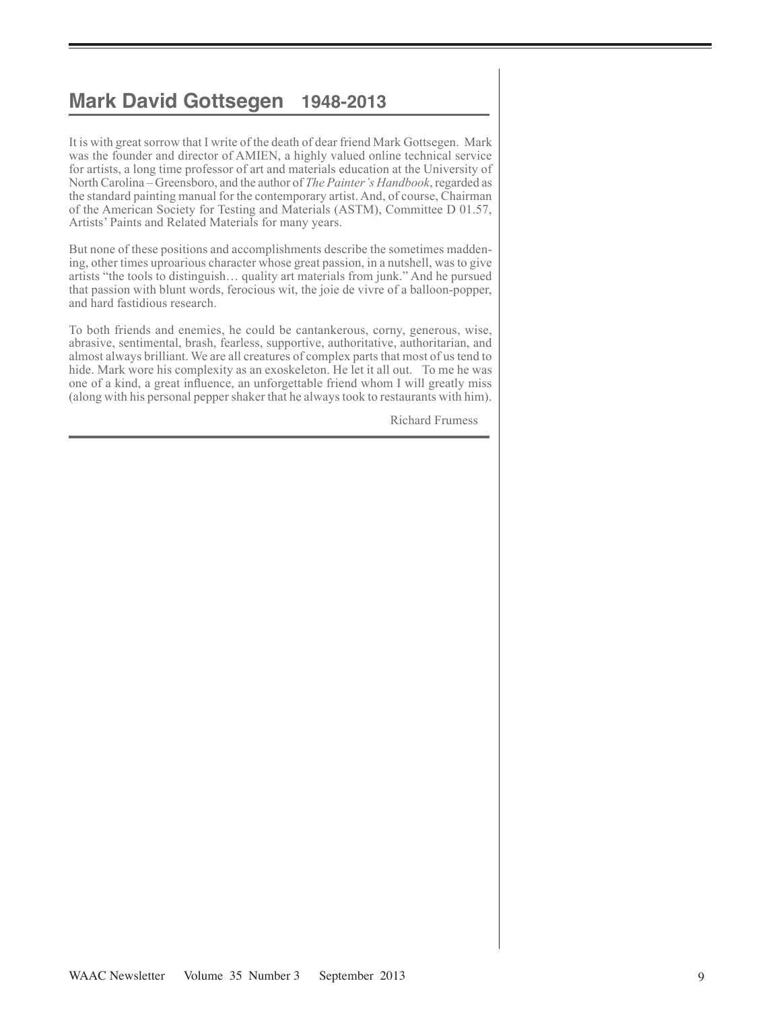# **Mark David Gottsegen 1948-2013**

It is with great sorrow that I write of the death of dear friend Mark Gottsegen. Mark was the founder and director of AMIEN, a highly valued online technical service for artists, a long time professor of art and materials education at the University of North Carolina – Greensboro, and the author of *The Painter's Handbook*, regarded as the standard painting manual for the contemporary artist. And, of course, Chairman of the American Society for Testing and Materials (ASTM), Committee D 01.57, Artists' Paints and Related Materials for many years.

But none of these positions and accomplishments describe the sometimes maddening, other times uproarious character whose great passion, in a nutshell, was to give artists "the tools to distinguish… quality art materials from junk." And he pursued that passion with blunt words, ferocious wit, the joie de vivre of a balloon-popper, and hard fastidious research.

To both friends and enemies, he could be cantankerous, corny, generous, wise, abrasive, sentimental, brash, fearless, supportive, authoritative, authoritarian, and almost always brilliant. We are all creatures of complex parts that most of us tend to hide. Mark wore his complexity as an exoskeleton. He let it all out. 

To me he was one of a kind, a great influence, an unforgettable friend whom I will greatly miss (along with his personal pepper shaker that he always took to restaurants with him).

Richard Frumess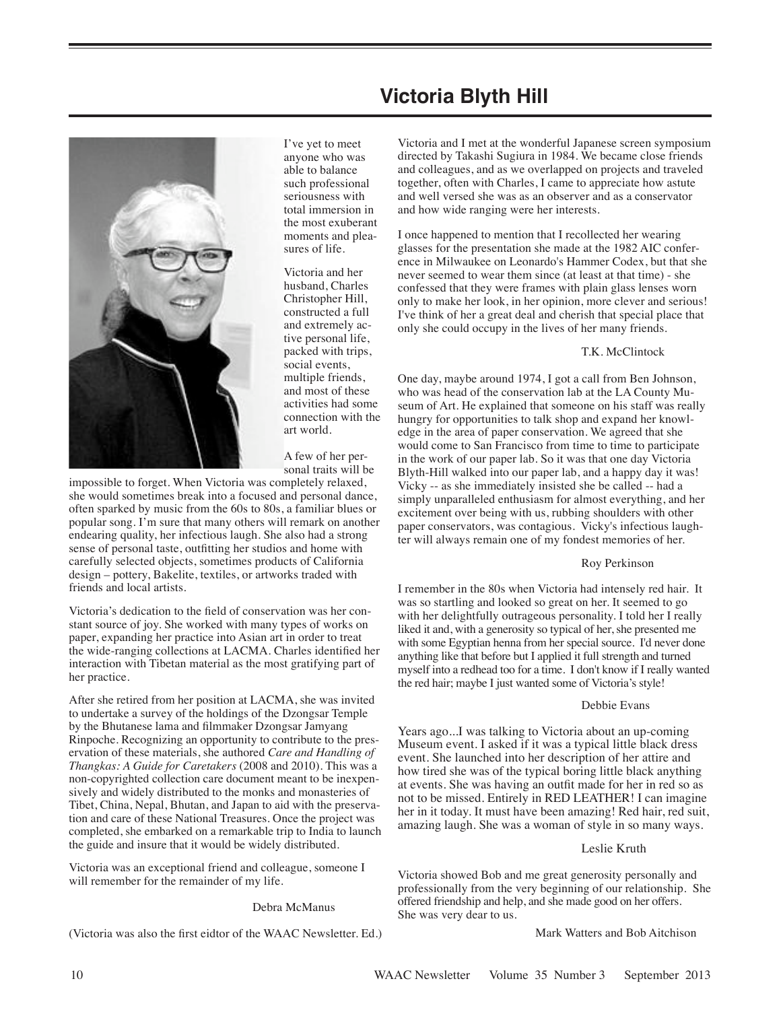

I've yet to meet anyone who was able to balance such professional seriousness with total immersion in the most exuberant moments and pleasures of life.

Victoria and her husband, Charles Christopher Hill, constructed a full and extremely active personal life, packed with trips, social events, multiple friends, and most of these activities had some connection with the art world.

A few of her personal traits will be

impossible to forget. When Victoria was completely relaxed, she would sometimes break into a focused and personal dance, often sparked by music from the 60s to 80s, a familiar blues or popular song. I'm sure that many others will remark on another endearing quality, her infectious laugh. She also had a strong sense of personal taste, outfitting her studios and home with carefully selected objects, sometimes products of California design – pottery, Bakelite, textiles, or artworks traded with friends and local artists.

Victoria's dedication to the field of conservation was her constant source of joy. She worked with many types of works on paper, expanding her practice into Asian art in order to treat the wide-ranging collections at LACMA. Charles identified her interaction with Tibetan material as the most gratifying part of her practice.

After she retired from her position at LACMA, she was invited to undertake a survey of the holdings of the Dzongsar Temple by the Bhutanese lama and filmmaker Dzongsar Jamyang Rinpoche. Recognizing an opportunity to contribute to the preservation of these materials, she authored *Care and Handling of Thangkas: A Guide for Caretakers* (2008 and 2010). This was a non-copyrighted collection care document meant to be inexpensively and widely distributed to the monks and monasteries of Tibet, China, Nepal, Bhutan, and Japan to aid with the preservation and care of these National Treasures. Once the project was completed, she embarked on a remarkable trip to India to launch the guide and insure that it would be widely distributed.

Victoria was an exceptional friend and colleague, someone I will remember for the remainder of my life.

#### Debra McManus

(Victoria was also the first eidtor of the WAAC Newsletter. Ed.)

# **Victoria Blyth Hill**

Victoria and I met at the wonderful Japanese screen symposium directed by Takashi Sugiura in 1984. We became close friends and colleagues, and as we overlapped on projects and traveled together, often with Charles, I came to appreciate how astute and well versed she was as an observer and as a conservator and how wide ranging were her interests.

I once happened to mention that I recollected her wearing glasses for the presentation she made at the 1982 AIC conference in Milwaukee on Leonardo's Hammer Codex, but that she never seemed to wear them since (at least at that time) - she confessed that they were frames with plain glass lenses worn only to make her look, in her opinion, more clever and serious! I've think of her a great deal and cherish that special place that only she could occupy in the lives of her many friends.

#### T.K. McClintock

One day, maybe around 1974, I got a call from Ben Johnson, who was head of the conservation lab at the LA County Museum of Art. He explained that someone on his staff was really hungry for opportunities to talk shop and expand her knowledge in the area of paper conservation. We agreed that she would come to San Francisco from time to time to participate in the work of our paper lab. So it was that one day Victoria Blyth-Hill walked into our paper lab, and a happy day it was! Vicky -- as she immediately insisted she be called -- had a simply unparalleled enthusiasm for almost everything, and her excitement over being with us, rubbing shoulders with other paper conservators, was contagious. Vicky's infectious laughter will always remain one of my fondest memories of her.

#### Roy Perkinson

I remember in the 80s when Victoria had intensely red hair. It was so startling and looked so great on her. It seemed to go with her delightfully outrageous personality. I told her I really liked it and, with a generosity so typical of her, she presented me with some Egyptian henna from her special source. I'd never done anything like that before but I applied it full strength and turned myself into a redhead too for a time. I don't know if I really wanted the red hair; maybe I just wanted some of Victoria's style!

# Debbie Evans

Years ago...I was talking to Victoria about an up-coming Museum event. I asked if it was a typical little black dress event. She launched into her description of her attire and how tired she was of the typical boring little black anything at events. She was having an outfit made for her in red so as not to be missed. Entirely in RED LEATHER! I can imagine her in it today. It must have been amazing! Red hair, red suit, amazing laugh. She was a woman of style in so many ways.

# Leslie Kruth

Victoria showed Bob and me great generosity personally and professionally from the very beginning of our relationship. She offered friendship and help, and she made good on her offers. She was very dear to us.

Mark Watters and Bob Aitchison